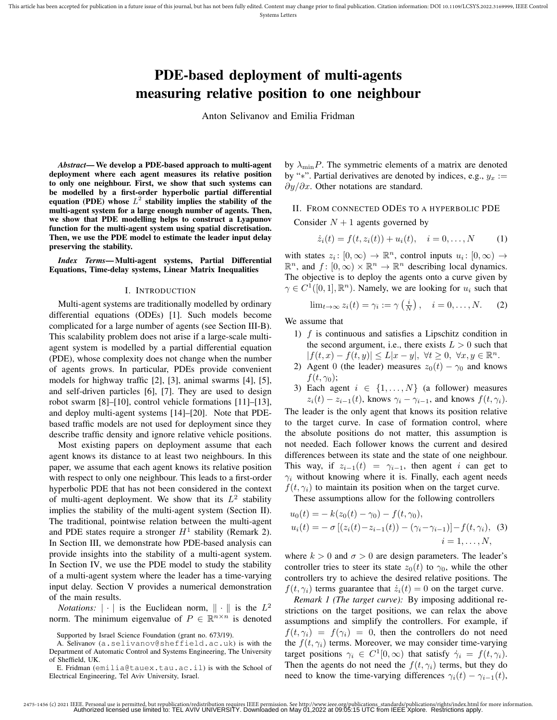# PDE-based deployment of multi-agents measuring relative position to one neighbour

Anton Selivanov and Emilia Fridman

*Abstract*— We develop a PDE-based approach to multi-agent deployment where each agent measures its relative position to only one neighbour. First, we show that such systems can be modelled by a first-order hyperbolic partial differential equation (PDE) whose  $L^2$  stability implies the stability of the multi-agent system for a large enough number of agents. Then, we show that PDE modelling helps to construct a Lyapunov function for the multi-agent system using spatial discretisation. Then, we use the PDE model to estimate the leader input delay preserving the stability.

*Index Terms*— Multi-agent systems, Partial Differential Equations, Time-delay systems, Linear Matrix Inequalities

## I. INTRODUCTION

Multi-agent systems are traditionally modelled by ordinary differential equations (ODEs) [1]. Such models become complicated for a large number of agents (see Section III-B). This scalability problem does not arise if a large-scale multiagent system is modelled by a partial differential equation (PDE), whose complexity does not change when the number of agents grows. In particular, PDEs provide convenient models for highway traffic [2], [3], animal swarms [4], [5], and self-driven particles [6], [7]. They are used to design robot swarm [8]–[10], control vehicle formations [11]–[13], and deploy multi-agent systems [14]–[20]. Note that PDEbased traffic models are not used for deployment since they describe traffic density and ignore relative vehicle positions.

Most existing papers on deployment assume that each agent knows its distance to at least two neighbours. In this paper, we assume that each agent knows its relative position with respect to only one neighbour. This leads to a first-order hyperbolic PDE that has not been considered in the context of multi-agent deployment. We show that its  $L^2$  stability implies the stability of the multi-agent system (Section II). The traditional, pointwise relation between the multi-agent and PDE states require a stronger  $H^1$  stability (Remark 2). In Section III, we demonstrate how PDE-based analysis can provide insights into the stability of a multi-agent system. In Section IV, we use the PDE model to study the stability of a multi-agent system where the leader has a time-varying input delay. Section V provides a numerical demonstration of the main results.

*Notations:*  $|\cdot|$  is the Euclidean norm,  $\|\cdot\|$  is the  $L^2$ norm. The minimum eigenvalue of  $P \in \mathbb{R}^{n \times n}$  is denoted by  $\lambda_{\min}P$ . The symmetric elements of a matrix are denoted by "∗". Partial derivatives are denoted by indices, e.g.,  $y_x :=$  $\partial y/\partial x$ . Other notations are standard.

II. FROM CONNECTED ODES TO A HYPERBOLIC PDE

Consider  $N + 1$  agents governed by

$$
\dot{z}_i(t) = f(t, z_i(t)) + u_i(t), \quad i = 0, ..., N \tag{1}
$$

with states  $z_i: [0, \infty) \to \mathbb{R}^n$ , control inputs  $u_i: [0, \infty) \to$  $\mathbb{R}^n$ , and  $f: [0, \infty) \times \mathbb{R}^n \to \mathbb{R}^n$  describing local dynamics. The objective is to deploy the agents onto a curve given by  $\gamma \in C^1([0,1], \mathbb{R}^n)$ . Namely, we are looking for  $u_i$  such that

$$
\lim_{t \to \infty} z_i(t) = \gamma_i := \gamma\left(\frac{i}{N}\right), \quad i = 0, \dots, N. \tag{2}
$$

We assume that

- 1)  $f$  is continuous and satisfies a Lipschitz condition in the second argument, i.e., there exists  $L > 0$  such that  $|f(t,x)-f(t,y)| \leq L|x-y|, \ \forall t \geq 0, \ \forall x,y \in \mathbb{R}^n.$
- 2) Agent 0 (the leader) measures  $z_0(t) \gamma_0$  and knows  $f(t, \gamma_0);$
- 3) Each agent  $i \in \{1, ..., N\}$  (a follower) measures  $z_i(t) - z_{i-1}(t)$ , knows  $\gamma_i - \gamma_{i-1}$ , and knows  $f(t, \gamma_i)$ .

The leader is the only agent that knows its position relative to the target curve. In case of formation control, where the absolute positions do not matter, this assumption is not needed. Each follower knows the current and desired differences between its state and the state of one neighbour. This way, if  $z_{i-1}(t) = \gamma_{i-1}$ , then agent i can get to  $\gamma_i$  without knowing where it is. Finally, each agent needs  $f(t, \gamma_i)$  to maintain its position when on the target curve.

These assumptions allow for the following controllers

$$
u_0(t) = -k(z_0(t) - \gamma_0) - f(t, \gamma_0),
$$
  
\n
$$
u_i(t) = -\sigma [(z_i(t) - z_{i-1}(t)) - (\gamma_i - \gamma_{i-1})] - f(t, \gamma_i),
$$
  
\n
$$
i = 1, ..., N,
$$

where  $k > 0$  and  $\sigma > 0$  are design parameters. The leader's controller tries to steer its state  $z_0(t)$  to  $\gamma_0$ , while the other controllers try to achieve the desired relative positions. The  $f(t, \gamma_i)$  terms guarantee that  $\dot{z}_i(t) = 0$  on the target curve.

*Remark 1 (The target curve):* By imposing additional restrictions on the target positions, we can relax the above assumptions and simplify the controllers. For example, if  $f(t, \gamma_i) = f(\gamma_i) = 0$ , then the controllers do not need the  $f(t, \gamma_i)$  terms. Moreover, we may consider time-varying target positions  $\gamma_i \in C^1[0,\infty)$  that satisfy  $\dot{\gamma}_i = f(t,\gamma_i)$ . Then the agents do not need the  $f(t, \gamma_i)$  terms, but they do need to know the time-varying differences  $\gamma_i(t) - \gamma_{i-1}(t)$ ,

Supported by Israel Science Foundation (grant no. 673/19).

A. Selivanov (a.selivanov@sheffield.ac.uk) is with the Department of Automatic Control and Systems Engineering, The University of Sheffield, UK.

E. Fridman (emilia@tauex.tau.ac.il) is with the School of Electrical Engineering, Tel Aviv University, Israel.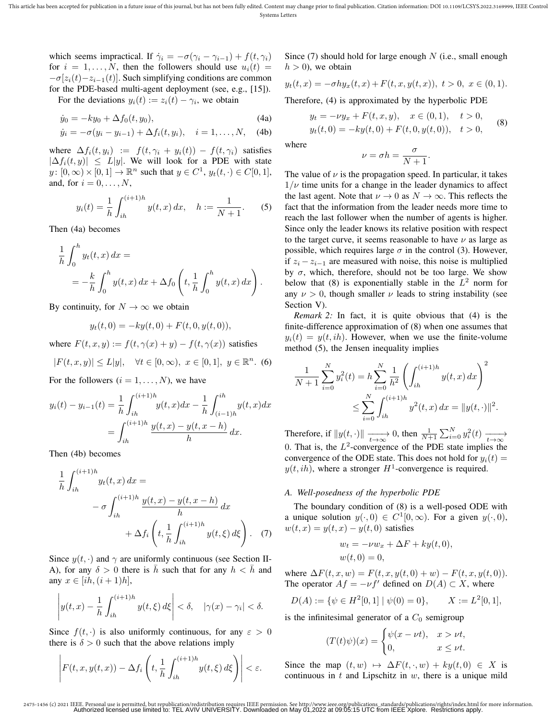which seems impractical. If  $\dot{\gamma}_i = -\sigma(\gamma_i - \gamma_{i-1}) + f(t, \gamma_i)$ for  $i = 1, \ldots, N$ , then the followers should use  $u_i(t) =$  $-\sigma[z_i(t)-z_{i-1}(t)]$ . Such simplifying conditions are common for the PDE-based multi-agent deployment (see, e.g., [15]).

For the deviations  $y_i(t) := z_i(t) - \gamma_i$ , we obtain

$$
\dot{y}_0 = -ky_0 + \Delta f_0(t, y_0),\tag{4a}
$$

$$
\dot{y}_i = -\sigma(y_i - y_{i-1}) + \Delta f_i(t, y_i), \quad i = 1, ..., N,
$$
 (4b)

where  $\Delta f_i(t, y_i) := f(t, \gamma_i + y_i(t)) - f(t, \gamma_i)$  satisfies  $|\Delta f_i(t, y)| \leq L|y|$ . We will look for a PDE with state  $y: [0, \infty) \times [0, 1] \to \mathbb{R}^n$  such that  $y \in C^1$ ,  $y_t(t, \cdot) \in C[0, 1]$ , and, for  $i = 0, \ldots, N$ ,

$$
y_i(t) = \frac{1}{h} \int_{ih}^{(i+1)h} y(t, x) \, dx, \quad h := \frac{1}{N+1}.
$$
 (5)

Then (4a) becomes

$$
\frac{1}{h} \int_0^h y_t(t, x) dx =
$$
  
=  $-\frac{k}{h} \int_0^h y(t, x) dx + \Delta f_0 \left( t, \frac{1}{h} \int_0^h y(t, x) dx \right).$ 

By continuity, for  $N \to \infty$  we obtain

$$
y_t(t,0) = -ky(t,0) + F(t,0,y(t,0)),
$$

where  $F(t, x, y) := f(t, \gamma(x) + y) - f(t, \gamma(x))$  satisfies

$$
|F(t, x, y)| \le L|y|, \quad \forall t \in [0, \infty), \ x \in [0, 1], \ y \in \mathbb{R}^n. \tag{6}
$$

For the followers  $(i = 1, \ldots, N)$ , we have

$$
y_i(t) - y_{i-1}(t) = \frac{1}{h} \int_{ih}^{(i+1)h} y(t, x) dx - \frac{1}{h} \int_{(i-1)h}^{ih} y(t, x) dx
$$

$$
= \int_{ih}^{(i+1)h} \frac{y(t, x) - y(t, x - h)}{h} dx.
$$

Then (4b) becomes

$$
\frac{1}{h} \int_{ih}^{(i+1)h} y_t(t, x) dx =
$$
\n
$$
- \sigma \int_{ih}^{(i+1)h} \frac{y(t, x) - y(t, x - h)}{h} dx
$$
\n
$$
+ \Delta f_i \left( t, \frac{1}{h} \int_{ih}^{(i+1)h} y(t, \xi) d\xi \right). \tag{7}
$$

Since  $y(t, \cdot)$  and  $\gamma$  are uniformly continuous (see Section II-A), for any  $\delta > 0$  there is  $\bar{h}$  such that for any  $h < \bar{h}$  and any  $x \in [ih, (i+1)h],$ 

$$
\left| y(t,x) - \frac{1}{h} \int_{ih}^{(i+1)h} y(t,\xi) d\xi \right| < \delta, \quad |\gamma(x) - \gamma_i| < \delta.
$$

Since  $f(t, \cdot)$  is also uniformly continuous, for any  $\varepsilon > 0$ there is  $\delta > 0$  such that the above relations imply

$$
\left| F(t, x, y(t, x)) - \Delta f_i \left( t, \frac{1}{h} \int_{ih}^{(i+1)h} y(t, \xi) d\xi \right) \right| < \varepsilon.
$$

Since  $(7)$  should hold for large enough N (i.e., small enough  $h > 0$ , we obtain

$$
y_t(t,x) = -\sigma h y_x(t,x) + F(t,x,y(t,x)), \ t > 0, \ x \in (0,1).
$$

Therefore, (4) is approximated by the hyperbolic PDE

$$
y_t = -\nu y_x + F(t, x, y), \quad x \in (0, 1), \quad t > 0,
$$
  

$$
y_t(t, 0) = -ky(t, 0) + F(t, 0, y(t, 0)), \quad t > 0,
$$
 (8)

where

$$
\nu = \sigma h = \frac{\sigma}{N+1}.
$$

The value of  $\nu$  is the propagation speed. In particular, it takes  $1/\nu$  time units for a change in the leader dynamics to affect the last agent. Note that  $\nu \to 0$  as  $N \to \infty$ . This reflects the fact that the information from the leader needs more time to reach the last follower when the number of agents is higher. Since only the leader knows its relative position with respect to the target curve, it seems reasonable to have  $\nu$  as large as possible, which requires large  $\sigma$  in the control (3). However, if  $z_i - z_{i-1}$  are measured with noise, this noise is multiplied by  $\sigma$ , which, therefore, should not be too large. We show below that (8) is exponentially stable in the  $L^2$  norm for any  $\nu > 0$ , though smaller  $\nu$  leads to string instability (see Section V).

*Remark 2:* In fact, it is quite obvious that (4) is the finite-difference approximation of (8) when one assumes that  $y_i(t) = y(t, ih)$ . However, when we use the finite-volume method (5), the Jensen inequality implies

$$
\frac{1}{N+1} \sum_{i=0}^{N} y_i^2(t) = h \sum_{i=0}^{N} \frac{1}{h^2} \left( \int_{ih}^{(i+1)h} y(t,x) dx \right)^2
$$
  

$$
\leq \sum_{i=0}^{N} \int_{ih}^{(i+1)h} y^2(t,x) dx = ||y(t, \cdot)||^2.
$$

Therefore, if  $||y(t, \cdot)|| \xrightarrow[t \to \infty]{} 0$ , then  $\frac{1}{N+1} \sum_{i=0}^{N} y_i^2(t) \xrightarrow[t \to \infty]{}$ 0. That is, the  $L^2$ -convergence of the PDE state implies the convergence of the ODE state. This does not hold for  $y_i(t) =$  $y(t, ih)$ , where a stronger  $H^1$ -convergence is required.

# *A. Well-posedness of the hyperbolic PDE*

The boundary condition of (8) is a well-posed ODE with a unique solution  $y(\cdot, 0) \in C^1[0, \infty)$ . For a given  $y(\cdot, 0)$ ,  $w(t, x) = y(t, x) - y(t, 0)$  satisfies

$$
w_t = -\nu w_x + \Delta F + ky(t, 0),
$$
  

$$
w(t, 0) = 0,
$$

where  $\Delta F(t, x, w) = F(t, x, y(t, 0) + w) - F(t, x, y(t, 0)).$ The operator  $Af = -\nu f'$  defined on  $D(A) \subset X$ , where

$$
D(A) := \{ \psi \in H^2[0,1] \mid \psi(0) = 0 \}, \qquad X := L^2[0,1],
$$

is the infinitesimal generator of a  $C_0$  semigroup

$$
(T(t)\psi)(x) = \begin{cases} \psi(x - \nu t), & x > \nu t, \\ 0, & x \le \nu t. \end{cases}
$$

Since the map  $(t, w) \mapsto \Delta F(t, \cdot, w) + k y(t, 0) \in X$  is continuous in  $t$  and Lipschitz in  $w$ , there is a unique mild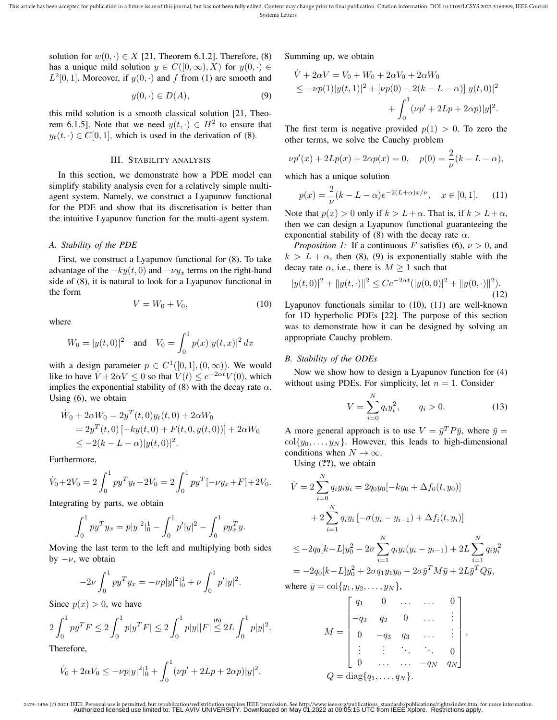This article has been accepted for publication in a future issue of this journal, but has not been fully edited. Content may change prior to final publication. Citation information: DOI 10.1109/LCSYS.2022.3169999, IEEE Con Systems Letters

solution for  $w(0, \cdot) \in X$  [21, Theorem 6.1.2]. Therefore, (8) has a unique mild solution  $y \in C([0,\infty),X)$  for  $y(0, \cdot) \in$  $L^2[0,1]$ . Moreover, if  $y(0, \cdot)$  and f from (1) are smooth and

$$
y(0, \cdot) \in D(A),\tag{9}
$$

this mild solution is a smooth classical solution [21, Theorem 6.1.5]. Note that we need  $y(t, \cdot) \in H^2$  to ensure that  $y_t(t, \cdot) \in C[0, 1]$ , which is used in the derivation of (8).

#### III. STABILITY ANALYSIS

In this section, we demonstrate how a PDE model can simplify stability analysis even for a relatively simple multiagent system. Namely, we construct a Lyapunov functional for the PDE and show that its discretisation is better than the intuitive Lyapunov function for the multi-agent system.

## *A. Stability of the PDE*

First, we construct a Lyapunov functional for (8). To take advantage of the  $-ky(t, 0)$  and  $-vy_x$  terms on the right-hand side of (8), it is natural to look for a Lyapunov functional in the form

$$
V = W_0 + V_0,\tag{10}
$$

where

$$
W_0 = |y(t,0)|^2 \quad \text{and} \quad V_0 = \int_0^1 p(x)|y(t,x)|^2 dx
$$

with a design parameter  $p \in C^1([0,1],(0,\infty))$ . We would like to have  $V + 2\alpha V \le 0$  so that  $V(t) \le e^{-2\alpha t} V(0)$ , which implies the exponential stability of (8) with the decay rate  $\alpha$ . Using (6), we obtain

$$
\dot{W}_0 + 2\alpha W_0 = 2y^T(t,0)y_t(t,0) + 2\alpha W_0
$$
  
=  $2y^T(t,0)$  [- $ky(t,0)$  +  $F(t,0,y(t,0))$ ] +  $2\alpha W_0$   
 $\leq -2(k - L - \alpha)|y(t,0)|^2$ .

Furthermore,

$$
\dot{V}_0 + 2V_0 = 2 \int_0^1 py^T y_t + 2V_0 = 2 \int_0^1 py^T [-\nu y_x + F] + 2V_0.
$$

Integrating by parts, we obtain

$$
\int_0^1 py^T y_x = p|y|^2\Big|_0^1 - \int_0^1 p'|y|^2 - \int_0^1 py_x^T y.
$$

Moving the last term to the left and multiplying both sides by  $-\nu$ , we obtain

$$
-2\nu \int_0^1 py^T y_x = -\nu p|y|^2|_0^1 + \nu \int_0^1 p'|y|^2.
$$

Since  $p(x) > 0$ , we have

$$
2\int_0^1 py^T F \le 2\int_0^1 p|y^T F| \le 2\int_0^1 p|y||F| \le 2L\int_0^1 p|y|^2.
$$

Therefore,

$$
\dot{V}_0 + 2\alpha V_0 \le -\nu p|y|^2\vert_0^1 + \int_0^1 (\nu p' + 2Lp + 2\alpha p)|y|^2.
$$

Summing up, we obtain

$$
\dot{V} + 2\alpha V = V_0 + W_0 + 2\alpha V_0 + 2\alpha W_0
$$
  
\n
$$
\leq -\nu p(1)|y(t,1)|^2 + [\nu p(0) - 2(k - L - \alpha)]|y(t,0)|^2
$$
  
\n
$$
+ \int_0^1 (\nu p' + 2Lp + 2\alpha p)|y|^2.
$$

The first term is negative provided  $p(1) > 0$ . To zero the other terms, we solve the Cauchy problem

$$
\nu p'(x) + 2Lp(x) + 2\alpha p(x) = 0, \quad p(0) = \frac{2}{\nu}(k - L - \alpha),
$$

which has a unique solution

$$
p(x) = \frac{2}{\nu}(k - L - \alpha)e^{-2(L + \alpha)x/\nu}, \quad x \in [0, 1].
$$
 (11)

Note that  $p(x) > 0$  only if  $k > L + \alpha$ . That is, if  $k > L + \alpha$ , then we can design a Lyapunov functional guaranteeing the exponential stability of (8) with the decay rate  $\alpha$ .

*Proposition 1:* If a continuous F satisfies (6),  $\nu > 0$ , and  $k > L + \alpha$ , then (8), (9) is exponentially stable with the decay rate  $\alpha$ , i.e., there is  $M \geq 1$  such that

$$
|y(t,0)|^2 + ||y(t, \cdot)||^2 \le Ce^{-2\alpha t} (|y(0,0)|^2 + ||y(0, \cdot)||^2).
$$
\n(12)

Lyapunov functionals similar to (10), (11) are well-known for 1D hyperbolic PDEs [22]. The purpose of this section was to demonstrate how it can be designed by solving an appropriate Cauchy problem.

## *B. Stability of the ODEs*

Now we show how to design a Lyapunov function for (4) without using PDEs. For simplicity, let  $n = 1$ . Consider

$$
V = \sum_{i=0}^{N} q_i y_i^2, \qquad q_i > 0.
$$
 (13)

A more general approach is to use  $V = \bar{y}^T P \bar{y}$ , where  $\bar{y} =$  $col{y_0, \ldots, y_N}$ . However, this leads to high-dimensional conditions when  $N \to \infty$ .

Using  $(?)$ , we obtain

$$
\dot{V} = 2 \sum_{i=0}^{N} q_i y_i \dot{y}_i = 2q_0 y_0 [-ky_0 + \Delta f_0(t, y_0)]
$$
  
+ 
$$
2 \sum_{i=1}^{N} q_i y_i [-\sigma(y_i - y_{i-1}) + \Delta f_i(t, y_i)]
$$
  

$$
\leq -2q_0 [k - L] y_0^2 - 2\sigma \sum_{i=1}^{N} q_i y_i (y_i - y_{i-1}) + 2L \sum_{i=1}^{N} q_i y_i^2
$$
  
= 
$$
-2q_0 [k - L] y_0^2 + 2\sigma q_1 y_1 y_0 - 2\sigma \bar{y}^T M \bar{y} + 2L \bar{y}^T Q \bar{y},
$$

where 
$$
\bar{y} = \text{col}\{y_1, y_2, \dots, y_N\},\
$$

$$
M = \begin{bmatrix} q_1 & 0 & \dots & \dots & 0 \\ -q_2 & q_2 & 0 & \dots & \vdots \\ 0 & -q_3 & q_3 & \dots & \vdots \\ \vdots & \vdots & \ddots & \ddots & 0 \\ 0 & \dots & \dots & -q_N & q_N \end{bmatrix},
$$
  

$$
Q = \text{diag}\{q_1, \dots, q_N\}.
$$

<sup>2475-1456 (</sup>c) 2021 IEEE. Personal use is permitted, but republication/redistribution requires IEEE permission. See http://www.ieee.org/publications\_standards/publications/rights/index.html for more information.<br>Authorized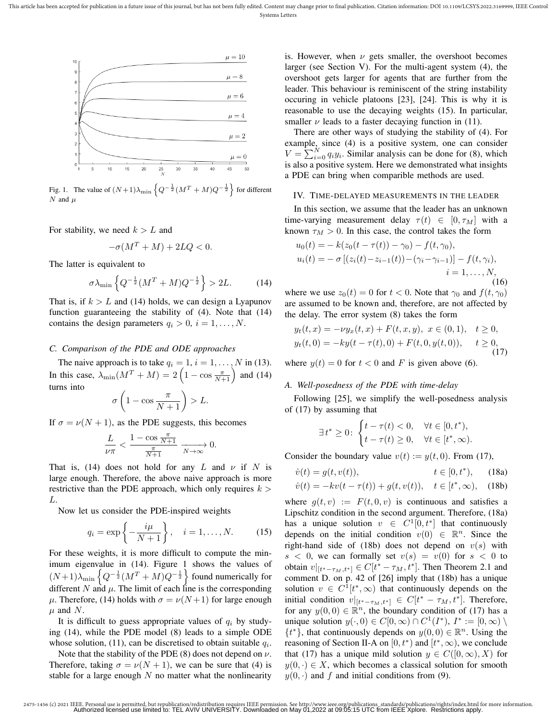

Fig. 1. The value of  $(N+1)\lambda_{\min} \left\{ Q^{-\frac{1}{2}} (M^T + M) Q^{-\frac{1}{2}} \right\}$  for different  $N$  and  $\mu$ 

For stability, we need  $k > L$  and

$$
-\sigma(M^T + M) + 2LQ < 0.
$$

The latter is equivalent to

$$
\sigma \lambda_{\min} \left\{ Q^{-\frac{1}{2}} (M^T + M) Q^{-\frac{1}{2}} \right\} > 2L. \tag{14}
$$

That is, if  $k > L$  and (14) holds, we can design a Lyapunov function guaranteeing the stability of (4). Note that (14) contains the design parameters  $q_i > 0$ ,  $i = 1, \ldots, N$ .

## *C. Comparison of the PDE and ODE approaches*

The naive approach is to take  $q_i = 1, i = 1, \dots, N$  in (13). In this case,  $\lambda_{\min}(M^T + M) = 2\left(1 - \cos \frac{\pi}{N+1}\right)$  and (14) turns into

$$
\sigma\left(1-\cos\frac{\pi}{N+1}\right) > L.
$$

If  $\sigma = \nu(N + 1)$ , as the PDE suggests, this becomes

$$
\frac{L}{\nu\pi}<\frac{1-\cos\frac{\pi}{N+1}}{\frac{\pi}{N+1}}\xrightarrow[N\to\infty]{}0.
$$

That is, (14) does not hold for any L and  $\nu$  if N is large enough. Therefore, the above naive approach is more restrictive than the PDE approach, which only requires  $k >$ L.

Now let us consider the PDE-inspired weights

$$
q_i = \exp\left\{-\frac{i\mu}{N+1}\right\}, \quad i = 1, \dots, N. \tag{15}
$$

For these weights, it is more difficult to compute the minimum eigenvalue in (14). Figure 1 shows the values of  $(N+1)\lambda_{\min} \left\{ Q^{-\frac{1}{2}} (M^T + M) Q^{-\frac{1}{2}} \right\}$  found numerically for different N and  $\mu$ . The limit of each line is the corresponding μ. Therefore, (14) holds with  $σ = ν(N+1)$  for large enough  $\mu$  and N.

It is difficult to guess appropriate values of  $q_i$  by studying (14), while the PDE model (8) leads to a simple ODE whose solution, (11), can be discretised to obtain suitable  $q_i$ .

Note that the stability of the PDE (8) does not depend on  $\nu$ . Therefore, taking  $\sigma = \nu(N + 1)$ , we can be sure that (4) is stable for a large enough  $N$  no matter what the nonlinearity is. However, when  $\nu$  gets smaller, the overshoot becomes larger (see Section V). For the multi-agent system (4), the overshoot gets larger for agents that are further from the leader. This behaviour is reminiscent of the string instability occuring in vehicle platoons [23], [24]. This is why it is reasonable to use the decaying weights (15). In particular, smaller  $\nu$  leads to a faster decaying function in (11).

There are other ways of studying the stability of (4). For example, since (4) is a positive system, one can consider  $V = \sum_{i=0}^{N} q_i y_i$ . Similar analysis can be done for (8), which is also a positive system. Here we demonstrated what insights a PDE can bring when comparible methods are used.

#### IV. TIME-DELAYED MEASUREMENTS IN THE LEADER

In this section, we assume that the leader has an unknown time-varying measurement delay  $\tau(t) \in [0, \tau_M]$  with a known  $\tau_M > 0$ . In this case, the control takes the form

$$
u_0(t) = -k(z_0(t - \tau(t)) - \gamma_0) - f(t, \gamma_0),
$$
  
\n
$$
u_i(t) = -\sigma [(z_i(t) - z_{i-1}(t)) - (\gamma_i - \gamma_{i-1})] - f(t, \gamma_i),
$$
  
\n
$$
i = 1, ..., N,
$$
  
\n(16)

where we use  $z_0(t) = 0$  for  $t < 0$ . Note that  $\gamma_0$  and  $f(t, \gamma_0)$ are assumed to be known and, therefore, are not affected by the delay. The error system (8) takes the form

$$
y_t(t, x) = -\nu y_x(t, x) + F(t, x, y), \ x \in (0, 1), \quad t \ge 0,
$$
  

$$
y_t(t, 0) = -ky(t - \tau(t), 0) + F(t, 0, y(t, 0)), \quad t \ge 0,
$$
  
(17)

where  $y(t) = 0$  for  $t < 0$  and F is given above (6).

## *A. Well-posedness of the PDE with time-delay*

Following [25], we simplify the well-posedness analysis of (17) by assuming that

$$
\exists t^* \geq 0 \colon \begin{cases} t - \tau(t) < 0, \quad \forall t \in [0, t^*), \\ t - \tau(t) \geq 0, \quad \forall t \in [t^*, \infty). \end{cases}
$$

Consider the boundary value  $v(t) := y(t, 0)$ . From (17),

$$
\dot{v}(t) = g(t, v(t)), \qquad t \in [0, t^*), \qquad (18a)
$$
  

$$
\dot{v}(t) = -kv(t - \tau(t)) + g(t, v(t)), \qquad t \in [t^*, \infty), \qquad (18b)
$$

where  $q(t, v) := F(t, 0, v)$  is continuous and satisfies a Lipschitz condition in the second argument. Therefore, (18a) has a unique solution  $v \in C^1[0, t^*]$  that continuously depends on the initial condition  $v(0) \in \mathbb{R}^n$ . Since the right-hand side of (18b) does not depend on  $v(s)$  with  $s < 0$ , we can formally set  $v(s) = v(0)$  for  $s < 0$  to obtain  $v|_{[t^*-\tau_M,t^*]} \in C[t^*-\tau_M,t^*]$ . Then Theorem 2.1 and comment D. on p. 42 of [26] imply that (18b) has a unique solution  $v \in C^1[t^*,\infty)$  that continuously depends on the initial condition  $v|_{[t^*-\tau_M,t^*]} \in C[t^*-\tau_M,t^*]$ . Therefore, for any  $y(0,0) \in \mathbb{R}^n$ , the boundary condition of (17) has a unique solution  $y(\cdot,0) \in C[0,\infty) \cap C^1(I^*), I^* := [0,\infty) \setminus C^1(I^*)$  $\{t^*\}$ , that continuously depends on  $y(0,0) \in \mathbb{R}^n$ . Using the reasoning of Section II-A on  $[0, t^*)$  and  $[t^*, \infty)$ , we conclude that (17) has a unique mild solution  $y \in C([0,\infty),X)$  for  $y(0, \cdot) \in X$ , which becomes a classical solution for smooth  $y(0, \cdot)$  and f and initial conditions from (9).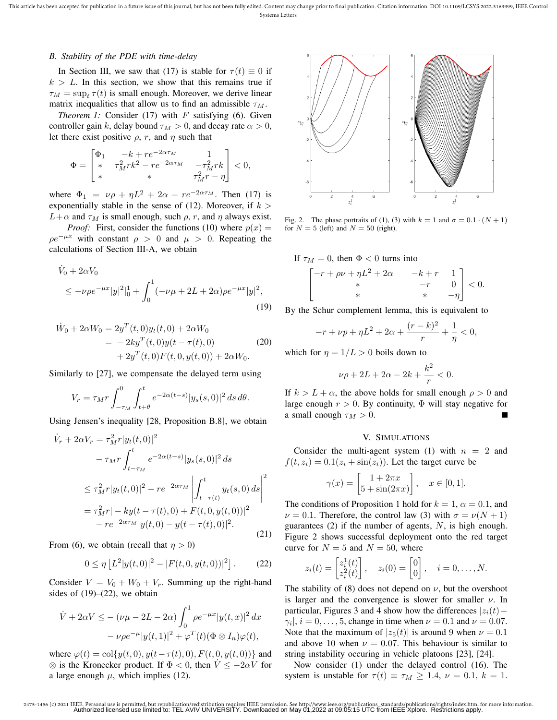This article has been accepted for publication in a future issue of this journal, but has not been fully edited. Content may change prior to final publication. Citation information: DOI 10.1109/LCSYS.2022.3169999, IEEE Con Systems Letters

#### *B. Stability of the PDE with time-delay*

In Section III, we saw that (17) is stable for  $\tau(t) \equiv 0$  if  $k > L$ . In this section, we show that this remains true if  $\tau_M = \sup_t \tau(t)$  is small enough. Moreover, we derive linear matrix inequalities that allow us to find an admissible  $\tau_M$ .

*Theorem 1:* Consider  $(17)$  with  $F$  satisfying  $(6)$ . Given controller gain k, delay bound  $\tau_M > 0$ , and decay rate  $\alpha > 0$ , let there exist positive  $\rho$ , r, and  $\eta$  such that

$$
\Phi = \begin{bmatrix} \Phi_1 & -k + r e^{-2 \alpha \tau_M} & 1 \\ * & \tau_M^2 r k^2 - r e^{-2 \alpha \tau_M} & -\tau_M^2 r k \\ * & * & \tau_M^2 r - \eta \end{bmatrix} < 0,
$$

where  $\Phi_1 = \nu \rho + \eta L^2 + 2\alpha - r e^{-2\alpha \tau_M}$ . Then (17) is exponentially stable in the sense of (12). Moreover, if  $k >$  $L+\alpha$  and  $\tau_M$  is small enough, such  $\rho$ , r, and  $\eta$  always exist.

*Proof:* First, consider the functions (10) where  $p(x) =$  $\rho e^{-\mu x}$  with constant  $\rho > 0$  and  $\mu > 0$ . Repeating the calculations of Section III-A, we obtain

$$
\dot{V}_0 + 2\alpha V_0
$$
  
\n
$$
\leq -\nu \rho e^{-\mu x} |y|^2 |_0^1 + \int_0^1 (-\nu \mu + 2L + 2\alpha) \rho e^{-\mu x} |y|^2,
$$
\n(19)

$$
\dot{W}_0 + 2\alpha W_0 = 2y^T(t,0)y_t(t,0) + 2\alpha W_0
$$
  
= -2ky<sup>T</sup>(t,0)y(t - \tau(t),0)  
+ 2y<sup>T</sup>(t,0)F(t,0,y(t,0)) + 2\alpha W\_0. (20)

Similarly to [27], we compensate the delayed term using

$$
V_r = \tau_M r \int_{-\tau_M}^0 \int_{t+\theta}^t e^{-2\alpha(t-s)} |y_s(s,0)|^2 ds d\theta.
$$

Using Jensen's inequality [28, Proposition B.8], we obtain

$$
\dot{V}_r + 2\alpha V_r = \tau_M^2 r |y_t(t,0)|^2
$$
  
\n
$$
- \tau_M r \int_{t-\tau_M}^t e^{-2\alpha(t-s)} |y_s(s,0)|^2 ds
$$
  
\n
$$
\leq \tau_M^2 r |y_t(t,0)|^2 - r e^{-2\alpha\tau_M} \left| \int_{t-\tau(t)}^t y_t(s,0) ds \right|^2
$$
  
\n
$$
= \tau_M^2 r | -ky(t-\tau(t),0) + F(t,0,y(t,0))|^2
$$
  
\n
$$
- r e^{-2\alpha\tau_M} |y(t,0) - y(t-\tau(t),0)|^2.
$$
\n(21)

From (6), we obtain (recall that  $\eta > 0$ )

$$
0 \le \eta \left[ L^2 |y(t,0)|^2 - |F(t,0,y(t,0))|^2 \right].
$$
 (22)

Consider  $V = V_0 + W_0 + V_r$ . Summing up the right-hand sides of  $(19)$ – $(22)$ , we obtain

$$
\dot{V} + 2\alpha V \le -(\nu\mu - 2L - 2\alpha) \int_0^1 \rho e^{-\mu x} |y(t, x)|^2 dx
$$
  

$$
-\nu\rho e^{-\mu} |y(t, 1)|^2 + \varphi^T(t) (\Phi \otimes I_n)\varphi(t),
$$

where  $\varphi(t) = \text{col}\{y(t, 0), y(t-\tau(t), 0), F(t, 0, y(t, 0))\}$  and  $\otimes$  is the Kronecker product. If  $\Phi < 0$ , then  $\dot{V} \le -2\alpha V$  for a large enough  $\mu$ , which implies (12).



Fig. 2. The phase portraits of (1), (3) with  $k = 1$  and  $\sigma = 0.1 \cdot (N + 1)$ for  $N = 5$  (left) and  $N = 50$  (right).

If  $\tau_M = 0$ , then  $\Phi < 0$  turns into

$$
\begin{bmatrix} -r + \rho v + \eta L^2 + 2\alpha & -k + r & 1\\ * & -r & 0\\ * & * & -\eta \end{bmatrix} < 0.
$$

By the Schur complement lemma, this is equivalent to

$$
-r + \nu p + \eta L^2 + 2\alpha + \frac{(r-k)^2}{r} + \frac{1}{\eta} < 0,
$$

which for  $\eta = 1/L > 0$  boils down to

$$
\nu \rho + 2L + 2\alpha - 2k + \frac{k^2}{r} < 0.
$$

If  $k > L + \alpha$ , the above holds for small enough  $\rho > 0$  and large enough  $r > 0$ . By continuity,  $\Phi$  will stay negative for a small enough  $\tau_M > 0$ .

#### V. SIMULATIONS

Consider the multi-agent system (1) with  $n = 2$  and  $f(t, z_i) = 0.1(z_i + \sin(z_i))$ . Let the target curve be

$$
\gamma(x) = \begin{bmatrix} 1 + 2\pi x \\ 5 + \sin(2\pi x) \end{bmatrix}, \quad x \in [0, 1].
$$

The conditions of Proposition 1 hold for  $k = 1$ ,  $\alpha = 0.1$ , and  $\nu = 0.1$ . Therefore, the control law (3) with  $\sigma = \nu(N + 1)$ guarantees  $(2)$  if the number of agents,  $N$ , is high enough. Figure 2 shows successful deployment onto the red target curve for  $N = 5$  and  $N = 50$ , where

$$
z_i(t) = \begin{bmatrix} z_i^1(t) \\ z_i^2(t) \end{bmatrix}, \quad z_i(0) = \begin{bmatrix} 0 \\ 0 \end{bmatrix}, \quad i = 0, \dots, N.
$$

The stability of (8) does not depend on  $\nu$ , but the overshoot is larger and the convergence is slower for smaller  $\nu$ . In particular, Figures 3 and 4 show how the differences  $|z_i(t)$  –  $\gamma_i$ ,  $i = 0, \ldots, 5$ , change in time when  $\nu = 0.1$  and  $\nu = 0.07$ . Note that the maximum of  $|z_5(t)|$  is around 9 when  $\nu = 0.1$ and above 10 when  $\nu = 0.07$ . This behaviour is similar to string instability occuring in vehicle platoons [23], [24].

Now consider (1) under the delayed control (16). The system is unstable for  $\tau(t) \equiv \tau_M \ge 1.4$ ,  $\nu = 0.1$ ,  $k = 1$ .